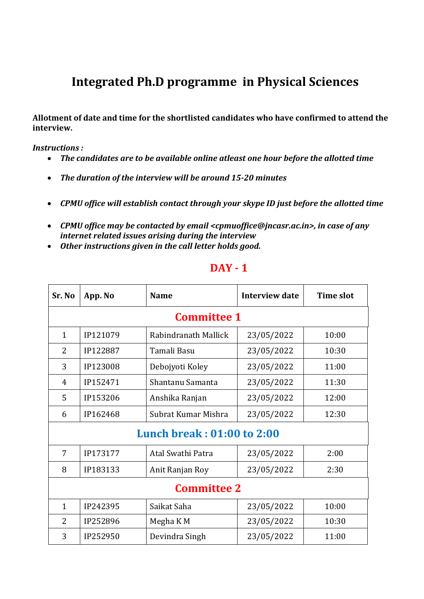## **Integrated Ph.D programme in Physical Sciences**

**Allotment of date and time for the shortlisted candidates who have confirmed to attend the interview.**

*Instructions :*

- *The candidates are to be available online atleast one hour before the allotted time*
- *The duration of the interview will be around 15-20 minutes*
- *CPMU office will establish contact through your skype ID just before the allotted time*
- *CPMU office may be contacted by email <cpmuoffice@jncasr.ac.in>, in case of any internet related issues arising during the interview*
- *Other instructions given in the call letter holds good.*

| Sr. No                     | App. No  | <b>Name</b>          | <b>Interview date</b> | <b>Time slot</b> |  |
|----------------------------|----------|----------------------|-----------------------|------------------|--|
| <b>Committee 1</b>         |          |                      |                       |                  |  |
| $\mathbf{1}$               | IP121079 | Rabindranath Mallick | 23/05/2022            | 10:00            |  |
| $\overline{2}$             | IP122887 | Tamali Basu          | 23/05/2022            | 10:30            |  |
| 3                          | IP123008 | Debojyoti Koley      | 23/05/2022            | 11:00            |  |
| 4                          | IP152471 | Shantanu Samanta     | 23/05/2022            | 11:30            |  |
| 5                          | IP153206 | Anshika Ranjan       | 23/05/2022            | 12:00            |  |
| 6                          | IP162468 | Subrat Kumar Mishra  | 23/05/2022            | 12:30            |  |
| Lunch break: 01:00 to 2:00 |          |                      |                       |                  |  |
| 7                          | IP173177 | Atal Swathi Patra    | 23/05/2022            | 2:00             |  |
| 8                          | IP183133 | Anit Ranjan Roy      | 23/05/2022            | 2:30             |  |
| <b>Committee 2</b>         |          |                      |                       |                  |  |
| $\mathbf{1}$               | IP242395 | Saikat Saha          | 23/05/2022            | 10:00            |  |
| 2                          | IP252896 | Megha K M            | 23/05/2022            | 10:30            |  |
| 3                          | IP252950 | Devindra Singh       | 23/05/2022            | 11:00            |  |

## **DAY - 1**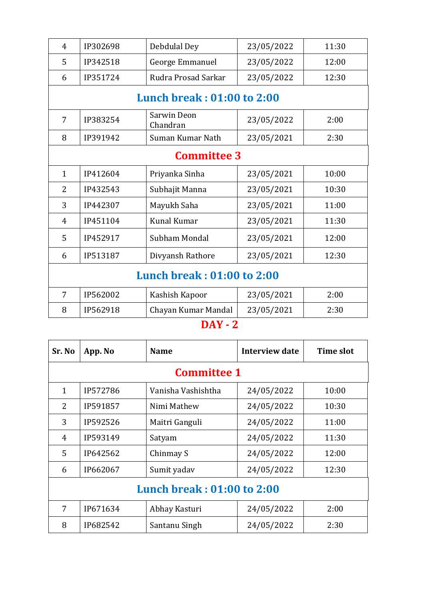| $\overline{4}$                    | IP302698                   | Debdulal Dey            | 23/05/2022 | 11:30 |  |  |
|-----------------------------------|----------------------------|-------------------------|------------|-------|--|--|
| 5                                 | IP342518                   | George Emmanuel         | 23/05/2022 | 12:00 |  |  |
| 6                                 | IP351724                   | Rudra Prosad Sarkar     | 23/05/2022 | 12:30 |  |  |
|                                   | Lunch break: 01:00 to 2:00 |                         |            |       |  |  |
| $\overline{7}$                    | IP383254                   | Sarwin Deon<br>Chandran | 23/05/2022 | 2:00  |  |  |
| 8                                 | IP391942                   | Suman Kumar Nath        | 23/05/2021 | 2:30  |  |  |
| <b>Committee 3</b>                |                            |                         |            |       |  |  |
| $\mathbf{1}$                      | IP412604                   | Priyanka Sinha          | 23/05/2021 | 10:00 |  |  |
| $\overline{2}$                    | IP432543                   | Subhajit Manna          | 23/05/2021 | 10:30 |  |  |
| 3                                 | IP442307                   | Mayukh Saha             | 23/05/2021 | 11:00 |  |  |
| $\overline{4}$                    | IP451104                   | <b>Kunal Kumar</b>      | 23/05/2021 | 11:30 |  |  |
| 5                                 | IP452917                   | Subham Mondal           | 23/05/2021 | 12:00 |  |  |
| 6                                 | IP513187                   | Divyansh Rathore        | 23/05/2021 | 12:30 |  |  |
| <b>Lunch break: 01:00 to 2:00</b> |                            |                         |            |       |  |  |
| 7                                 | IP562002                   | Kashish Kapoor          | 23/05/2021 | 2:00  |  |  |
| 8                                 | IP562918                   | Chayan Kumar Mandal     | 23/05/2021 | 2:30  |  |  |

## **DAY - 2**

| Sr. No                     | App. No  | <b>Name</b>        | Interview date | <b>Time slot</b> |  |
|----------------------------|----------|--------------------|----------------|------------------|--|
| <b>Committee 1</b>         |          |                    |                |                  |  |
| $\mathbf{1}$               | IP572786 | Vanisha Vashishtha | 24/05/2022     | 10:00            |  |
| 2                          | IP591857 | Nimi Mathew        | 24/05/2022     | 10:30            |  |
| 3                          | IP592526 | Maitri Ganguli     | 24/05/2022     | 11:00            |  |
| 4                          | IP593149 | Satyam             | 24/05/2022     | 11:30            |  |
| 5                          | IP642562 | Chinmay S          | 24/05/2022     | 12:00            |  |
| 6                          | IP662067 | Sumit yadav        | 24/05/2022     | 12:30            |  |
| Lunch break: 01:00 to 2:00 |          |                    |                |                  |  |
| 7                          | IP671634 | Abhay Kasturi      | 24/05/2022     | 2:00             |  |
| 8                          | IP682542 | Santanu Singh      | 24/05/2022     | 2:30             |  |